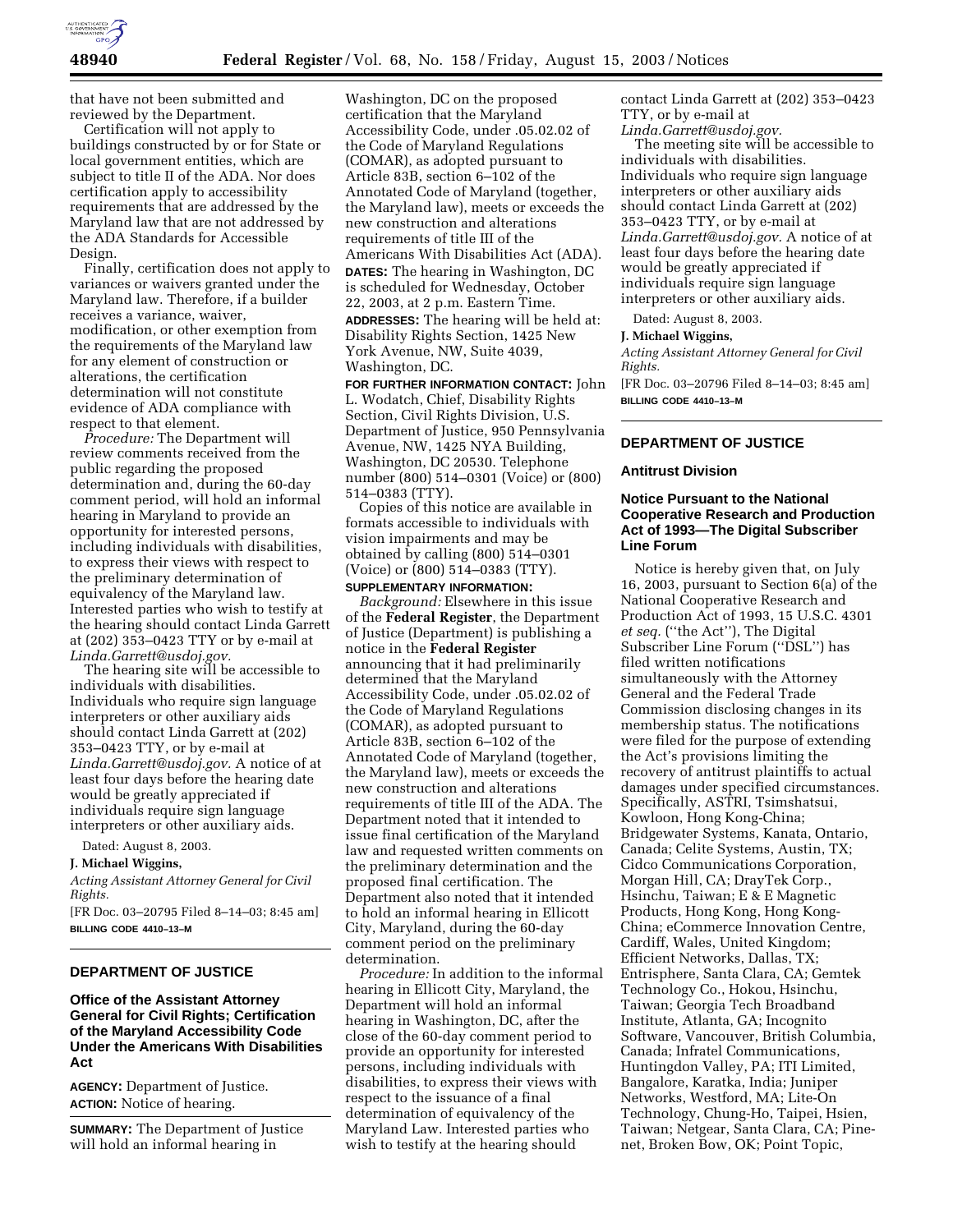that have not been submitted and reviewed by the Department.

Certification will not apply to buildings constructed by or for State or local government entities, which are subject to title II of the ADA. Nor does certification apply to accessibility requirements that are addressed by the Maryland law that are not addressed by the ADA Standards for Accessible Design.

Finally, certification does not apply to variances or waivers granted under the Maryland law. Therefore, if a builder receives a variance, waiver, modification, or other exemption from the requirements of the Maryland law for any element of construction or alterations, the certification determination will not constitute evidence of ADA compliance with respect to that element.

*Procedure:* The Department will review comments received from the public regarding the proposed determination and, during the 60-day comment period, will hold an informal hearing in Maryland to provide an opportunity for interested persons, including individuals with disabilities, to express their views with respect to the preliminary determination of equivalency of the Maryland law. Interested parties who wish to testify at the hearing should contact Linda Garrett at (202) 353–0423 TTY or by e-mail at *Linda.Garrett@usdoj.gov.*

The hearing site will be accessible to individuals with disabilities. Individuals who require sign language interpreters or other auxiliary aids should contact Linda Garrett at (202) 353–0423 TTY, or by e-mail at *Linda.Garrett@usdoj.gov.* A notice of at least four days before the hearing date would be greatly appreciated if individuals require sign language interpreters or other auxiliary aids.

Dated: August 8, 2003.

**J. Michael Wiggins,** 

*Acting Assistant Attorney General for Civil Rights.*

[FR Doc. 03–20795 Filed 8–14–03; 8:45 am] **BILLING CODE 4410–13–M**

## **DEPARTMENT OF JUSTICE**

# **Office of the Assistant Attorney General for Civil Rights; Certification of the Maryland Accessibility Code Under the Americans With Disabilities Act**

**AGENCY:** Department of Justice. **ACTION:** Notice of hearing.

**SUMMARY:** The Department of Justice will hold an informal hearing in

Washington, DC on the proposed certification that the Maryland Accessibility Code, under .05.02.02 of the Code of Maryland Regulations (COMAR), as adopted pursuant to Article 83B, section 6–102 of the Annotated Code of Maryland (together, the Maryland law), meets or exceeds the new construction and alterations requirements of title III of the Americans With Disabilities Act (ADA). **DATES:** The hearing in Washington, DC is scheduled for Wednesday, October 22, 2003, at 2 p.m. Eastern Time. **ADDRESSES:** The hearing will be held at: Disability Rights Section, 1425 New York Avenue, NW, Suite 4039, Washington, DC.

**FOR FURTHER INFORMATION CONTACT:** John L. Wodatch, Chief, Disability Rights Section, Civil Rights Division, U.S. Department of Justice, 950 Pennsylvania Avenue, NW, 1425 NYA Building, Washington, DC 20530. Telephone number (800) 514–0301 (Voice) or (800) 514–0383 (TTY).

Copies of this notice are available in formats accessible to individuals with vision impairments and may be obtained by calling (800) 514–0301 (Voice) or (800) 514–0383 (TTY). **SUPPLEMENTARY INFORMATION:** 

*Background:* Elsewhere in this issue of the **Federal Register**, the Department of Justice (Department) is publishing a notice in the **Federal Register** announcing that it had preliminarily determined that the Maryland Accessibility Code, under .05.02.02 of the Code of Maryland Regulations (COMAR), as adopted pursuant to Article 83B, section 6–102 of the Annotated Code of Maryland (together, the Maryland law), meets or exceeds the new construction and alterations requirements of title III of the ADA. The Department noted that it intended to issue final certification of the Maryland law and requested written comments on the preliminary determination and the proposed final certification. The Department also noted that it intended to hold an informal hearing in Ellicott City, Maryland, during the 60-day comment period on the preliminary determination.

*Procedure:* In addition to the informal hearing in Ellicott City, Maryland, the Department will hold an informal hearing in Washington, DC, after the close of the 60-day comment period to provide an opportunity for interested persons, including individuals with disabilities, to express their views with respect to the issuance of a final determination of equivalency of the Maryland Law. Interested parties who wish to testify at the hearing should

contact Linda Garrett at (202) 353–0423 TTY, or by e-mail at *Linda.Garrett@usdoj.gov.*

The meeting site will be accessible to individuals with disabilities. Individuals who require sign language interpreters or other auxiliary aids should contact Linda Garrett at (202) 353–0423 TTY, or by e-mail at *Linda.Garrett@usdoj.gov.* A notice of at least four days before the hearing date would be greatly appreciated if individuals require sign language interpreters or other auxiliary aids.

Dated: August 8, 2003.

### **J. Michael Wiggins,**

*Acting Assistant Attorney General for Civil Rights.* [FR Doc. 03–20796 Filed 8–14–03; 8:45 am]

**BILLING CODE 4410–13–M**

## **DEPARTMENT OF JUSTICE**

## **Antitrust Division**

## **Notice Pursuant to the National Cooperative Research and Production Act of 1993—The Digital Subscriber Line Forum**

Notice is hereby given that, on July 16, 2003, pursuant to Section 6(a) of the National Cooperative Research and Production Act of 1993, 15 U.S.C. 4301 *et seq.* (''the Act''), The Digital Subscriber Line Forum (''DSL'') has filed written notifications simultaneously with the Attorney General and the Federal Trade Commission disclosing changes in its membership status. The notifications were filed for the purpose of extending the Act's provisions limiting the recovery of antitrust plaintiffs to actual damages under specified circumstances. Specifically, ASTRI, Tsimshatsui, Kowloon, Hong Kong-China; Bridgewater Systems, Kanata, Ontario, Canada; Celite Systems, Austin, TX; Cidco Communications Corporation, Morgan Hill, CA; DrayTek Corp., Hsinchu, Taiwan; E & E Magnetic Products, Hong Kong, Hong Kong-China; eCommerce Innovation Centre, Cardiff, Wales, United Kingdom; Efficient Networks, Dallas, TX; Entrisphere, Santa Clara, CA; Gemtek Technology Co., Hokou, Hsinchu, Taiwan; Georgia Tech Broadband Institute, Atlanta, GA; Incognito Software, Vancouver, British Columbia, Canada; Infratel Communications, Huntingdon Valley, PA; ITI Limited, Bangalore, Karatka, India; Juniper Networks, Westford, MA; Lite-On Technology, Chung-Ho, Taipei, Hsien, Taiwan; Netgear, Santa Clara, CA; Pinenet, Broken Bow, OK; Point Topic,